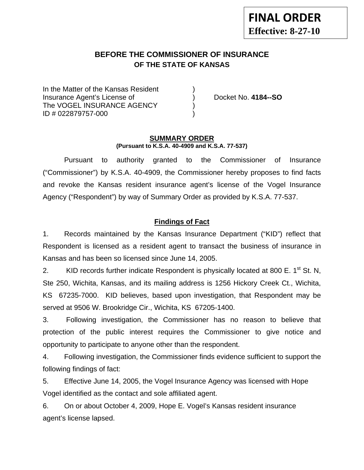# **BEFORE THE COMMISSIONER OF INSURANCE OF THE STATE OF KANSAS**

In the Matter of the Kansas Resident Insurance Agent's License of ) Docket No. **4184--SO** The VOGEL INSURANCE AGENCY ID # 022879757-000 )

#### **SUMMARY ORDER (Pursuant to K.S.A. 40-4909 and K.S.A. 77-537)**

 Pursuant to authority granted to the Commissioner of Insurance ("Commissioner") by K.S.A. 40-4909, the Commissioner hereby proposes to find facts and revoke the Kansas resident insurance agent's license of the Vogel Insurance Agency ("Respondent") by way of Summary Order as provided by K.S.A. 77-537.

## **Findings of Fact**

1. Records maintained by the Kansas Insurance Department ("KID") reflect that Respondent is licensed as a resident agent to transact the business of insurance in Kansas and has been so licensed since June 14, 2005.

2. KID records further indicate Respondent is physically located at 800 E.  $1<sup>st</sup>$  St. N, Ste 250, Wichita, Kansas, and its mailing address is 1256 Hickory Creek Ct., Wichita, KS 67235-7000. KID believes, based upon investigation, that Respondent may be served at 9506 W. Brookridge Cir., Wichita, KS 67205-1400.

3. Following investigation, the Commissioner has no reason to believe that protection of the public interest requires the Commissioner to give notice and opportunity to participate to anyone other than the respondent.

4. Following investigation, the Commissioner finds evidence sufficient to support the following findings of fact:

5. Effective June 14, 2005, the Vogel Insurance Agency was licensed with Hope Vogel identified as the contact and sole affiliated agent.

6. On or about October 4, 2009, Hope E. Vogel's Kansas resident insurance agent's license lapsed.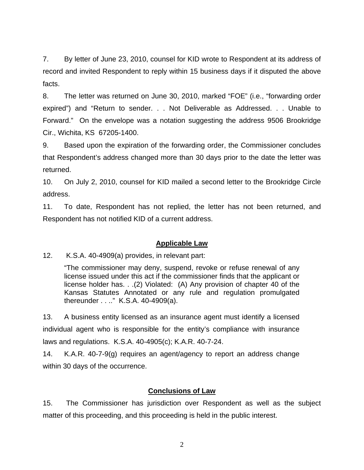7. By letter of June 23, 2010, counsel for KID wrote to Respondent at its address of record and invited Respondent to reply within 15 business days if it disputed the above facts.

8. The letter was returned on June 30, 2010, marked "FOE" (i.e., "forwarding order expired") and "Return to sender. . . Not Deliverable as Addressed. . . Unable to Forward." On the envelope was a notation suggesting the address 9506 Brookridge Cir., Wichita, KS 67205-1400.

9. Based upon the expiration of the forwarding order, the Commissioner concludes that Respondent's address changed more than 30 days prior to the date the letter was returned.

10. On July 2, 2010, counsel for KID mailed a second letter to the Brookridge Circle address.

11. To date, Respondent has not replied, the letter has not been returned, and Respondent has not notified KID of a current address.

## **Applicable Law**

12. K.S.A. 40-4909(a) provides, in relevant part:

"The commissioner may deny, suspend, revoke or refuse renewal of any license issued under this act if the commissioner finds that the applicant or license holder has. . .(2) Violated: (A) Any provision of chapter 40 of the Kansas Statutes Annotated or any rule and regulation promulgated thereunder . . .." K.S.A. 40-4909(a).

13. A business entity licensed as an insurance agent must identify a licensed individual agent who is responsible for the entity's compliance with insurance laws and regulations. K.S.A. 40-4905(c); K.A.R. 40-7-24.

14. K.A.R. 40-7-9(g) requires an agent/agency to report an address change within 30 days of the occurrence.

## **Conclusions of Law**

15. The Commissioner has jurisdiction over Respondent as well as the subject matter of this proceeding, and this proceeding is held in the public interest.

2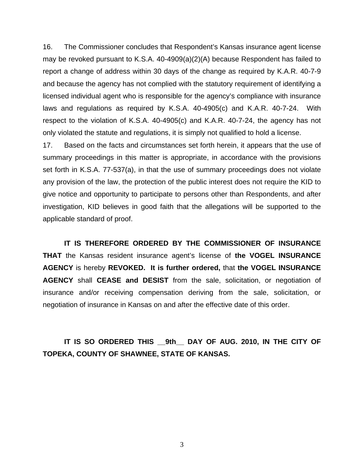16. The Commissioner concludes that Respondent's Kansas insurance agent license may be revoked pursuant to K.S.A. 40-4909(a)(2)(A) because Respondent has failed to report a change of address within 30 days of the change as required by K.A.R. 40-7-9 and because the agency has not complied with the statutory requirement of identifying a licensed individual agent who is responsible for the agency's compliance with insurance laws and regulations as required by K.S.A. 40-4905(c) and K.A.R. 40-7-24. With respect to the violation of K.S.A. 40-4905(c) and K.A.R. 40-7-24, the agency has not only violated the statute and regulations, it is simply not qualified to hold a license.

17. Based on the facts and circumstances set forth herein, it appears that the use of summary proceedings in this matter is appropriate, in accordance with the provisions set forth in K.S.A. 77-537(a), in that the use of summary proceedings does not violate any provision of the law, the protection of the public interest does not require the KID to give notice and opportunity to participate to persons other than Respondents, and after investigation, KID believes in good faith that the allegations will be supported to the applicable standard of proof.

 **IT IS THEREFORE ORDERED BY THE COMMISSIONER OF INSURANCE THAT** the Kansas resident insurance agent's license of **the VOGEL INSURANCE AGENCY** is hereby **REVOKED. It is further ordered,** that **the VOGEL INSURANCE AGENCY** shall **CEASE and DESIST** from the sale, solicitation, or negotiation of insurance and/or receiving compensation deriving from the sale, solicitation, or negotiation of insurance in Kansas on and after the effective date of this order.

 **IT IS SO ORDERED THIS \_\_9th\_\_ DAY OF AUG. 2010, IN THE CITY OF TOPEKA, COUNTY OF SHAWNEE, STATE OF KANSAS.**

3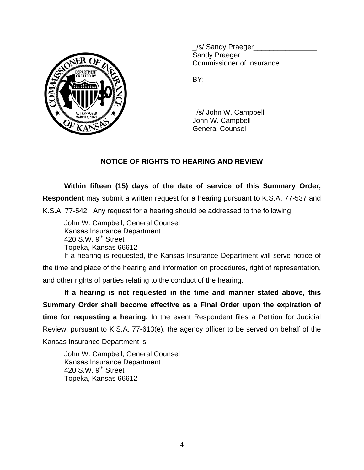

/s/ Sandy Praeger Sandy Praeger Commissioner of Insurance

/s/ John W. Campbell John W. Campbell General Counsel

# **NOTICE OF RIGHTS TO HEARING AND REVIEW**

**Within fifteen (15) days of the date of service of this Summary Order, Respondent** may submit a written request for a hearing pursuant to K.S.A. 77-537 and K.S.A. 77-542. Any request for a hearing should be addressed to the following:

 John W. Campbell, General Counsel Kansas Insurance Department 420 S.W.  $9<sup>th</sup>$  Street Topeka, Kansas 66612 If a hearing is requested, the Kansas Insurance Department will serve notice of the time and place of the hearing and information on procedures, right of representation,

and other rights of parties relating to the conduct of the hearing.

**If a hearing is not requested in the time and manner stated above, this Summary Order shall become effective as a Final Order upon the expiration of time for requesting a hearing.** In the event Respondent files a Petition for Judicial Review, pursuant to K.S.A. 77-613(e), the agency officer to be served on behalf of the Kansas Insurance Department is

 John W. Campbell, General Counsel Kansas Insurance Department 420 S.W. 9<sup>th</sup> Street Topeka, Kansas 66612